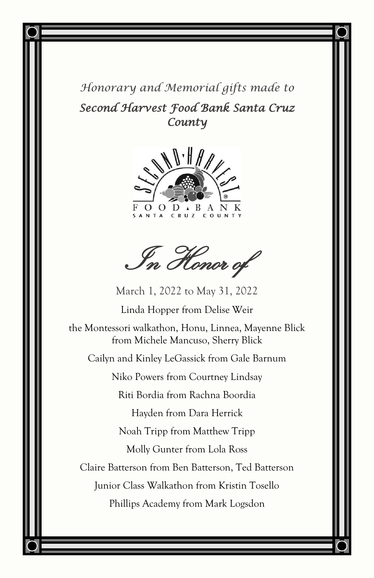*Honorary and Memorial gifts made to Second Harvest Food Bank Santa Cruz County* 



In Honor of

March 1, 2022 to May 31, 2022

Linda Hopper from Delise Weir

the Montessori walkathon, Honu, Linnea, Mayenne Blick from Michele Mancuso, Sherry Blick

Cailyn and Kinley LeGassick from Gale Barnum

Niko Powers from Courtney Lindsay

Riti Bordia from Rachna Boordia

Hayden from Dara Herrick

Noah Tripp from Matthew Tripp

Molly Gunter from Lola Ross

Claire Batterson from Ben Batterson, Ted Batterson

Junior Class Walkathon from Kristin Tosello

Phillips Academy from Mark Logsdon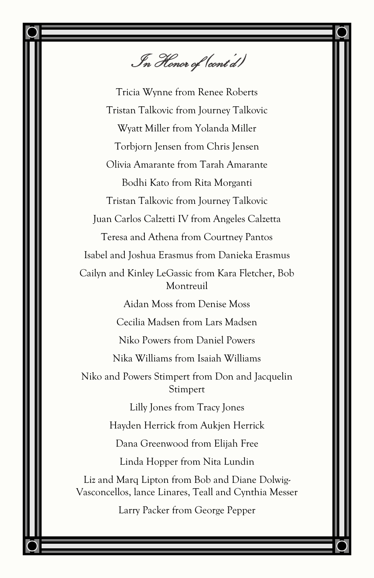In Honor of (cont'd)

Tricia Wynne from Renee Roberts Tristan Talkovic from Journey Talkovic Wyatt Miller from Yolanda Miller Torbjorn Jensen from Chris Jensen Olivia Amarante from Tarah Amarante Bodhi Kato from Rita Morganti Tristan Talkovic from Journey Talkovic Juan Carlos Calzetti IV from Angeles Calzetta Teresa and Athena from Courtney Pantos Isabel and Joshua Erasmus from Danieka Erasmus Cailyn and Kinley LeGassic from Kara Fletcher, Bob Montreuil Aidan Moss from Denise Moss Cecilia Madsen from Lars Madsen Niko Powers from Daniel Powers Nika Williams from Isaiah Williams Niko and Powers Stimpert from Don and Jacquelin Stimpert Lilly Jones from Tracy Jones Hayden Herrick from Aukjen Herrick Dana Greenwood from Elijah Free Linda Hopper from Nita Lundin Liz and Marq Lipton from Bob and Diane Dolwig-Vasconcellos, lance Linares, Teall and Cynthia Messer Larry Packer from George Pepper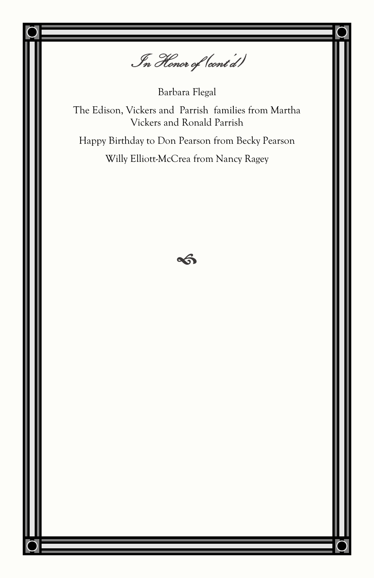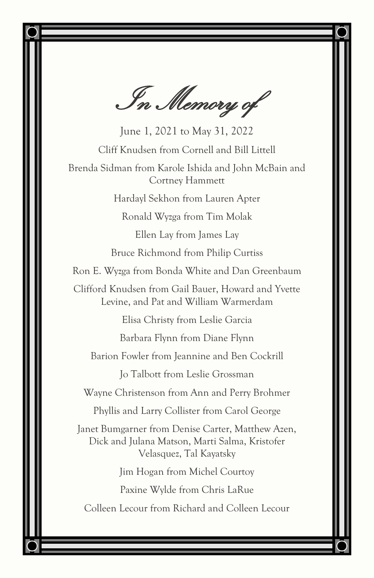In Memory of

June 1, 2021 to May 31, 2022 Cliff Knudsen from Cornell and Bill Littell Brenda Sidman from Karole Ishida and John McBain and Cortney Hammett Hardayl Sekhon from Lauren Apter Ronald Wyzga from Tim Molak Ellen Lay from James Lay Bruce Richmond from Philip Curtiss Ron E. Wyzga from Bonda White and Dan Greenbaum Clifford Knudsen from Gail Bauer, Howard and Yvette Levine, and Pat and William Warmerdam Elisa Christy from Leslie Garcia Barbara Flynn from Diane Flynn Barion Fowler from Jeannine and Ben Cockrill Jo Talbott from Leslie Grossman Wayne Christenson from Ann and Perry Brohmer Phyllis and Larry Collister from Carol George Janet Bumgarner from Denise Carter, Matthew Azen, Dick and Julana Matson, Marti Salma, Kristofer Velasquez, Tal Kayatsky Jim Hogan from Michel Courtoy Paxine Wylde from Chris LaRue Colleen Lecour from Richard and Colleen Lecour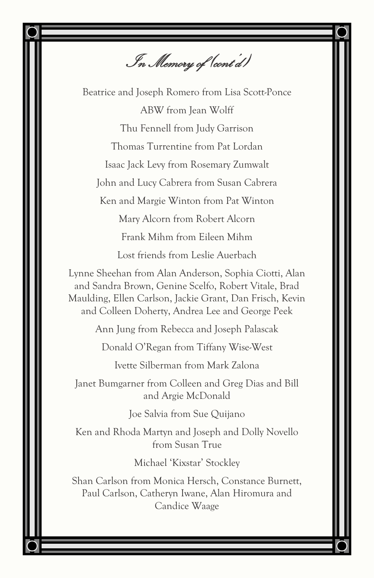In Memory of (cont'd)

Beatrice and Joseph Romero from Lisa Scott-Ponce ABW from Jean Wolff Thu Fennell from Judy Garrison Thomas Turrentine from Pat Lordan Isaac Jack Levy from Rosemary Zumwalt John and Lucy Cabrera from Susan Cabrera Ken and Margie Winton from Pat Winton Mary Alcorn from Robert Alcorn Frank Mihm from Eileen Mihm Lost friends from Leslie Auerbach

Lynne Sheehan from Alan Anderson, Sophia Ciotti, Alan and Sandra Brown, Genine Scelfo, Robert Vitale, Brad Maulding, Ellen Carlson, Jackie Grant, Dan Frisch, Kevin and Colleen Doherty, Andrea Lee and George Peek

Ann Jung from Rebecca and Joseph Palascak

Donald O'Regan from Tiffany Wise-West

Ivette Silberman from Mark Zalona

Janet Bumgarner from Colleen and Greg Dias and Bill and Argie McDonald

Joe Salvia from Sue Quijano

Ken and Rhoda Martyn and Joseph and Dolly Novello from Susan True

Michael 'Kixstar' Stockley

Shan Carlson from Monica Hersch, Constance Burnett, Paul Carlson, Catheryn Iwane, Alan Hiromura and Candice Waage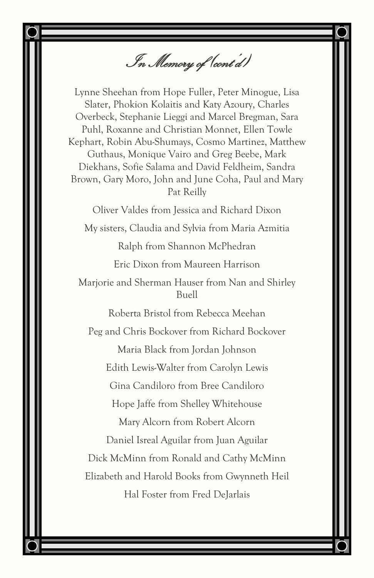In Memory of (cont'd)

Lynne Sheehan from Hope Fuller, Peter Minogue, Lisa Slater, Phokion Kolaitis and Katy Azoury, Charles Overbeck, Stephanie Lieggi and Marcel Bregman, Sara Puhl, Roxanne and Christian Monnet, Ellen Towle Kephart, Robin Abu-Shumays, Cosmo Martinez, Matthew Guthaus, Monique Vairo and Greg Beebe, Mark Diekhans, Sofie Salama and David Feldheim, Sandra Brown, Gary Moro, John and June Coha, Paul and Mary Pat Reilly

Oliver Valdes from Jessica and Richard Dixon My sisters, Claudia and Sylvia from Maria Azmitia Ralph from Shannon McPhedran Eric Dixon from Maureen Harrison Marjorie and Sherman Hauser from Nan and Shirley Buell Roberta Bristol from Rebecca Meehan Peg and Chris Bockover from Richard Bockover Maria Black from Jordan Johnson Edith Lewis-Walter from Carolyn Lewis Gina Candiloro from Bree Candiloro Hope Jaffe from Shelley Whitehouse Mary Alcorn from Robert Alcorn Daniel Isreal Aguilar from Juan Aguilar Dick McMinn from Ronald and Cathy McMinn Elizabeth and Harold Books from Gwynneth Heil Hal Foster from Fred DeJarlais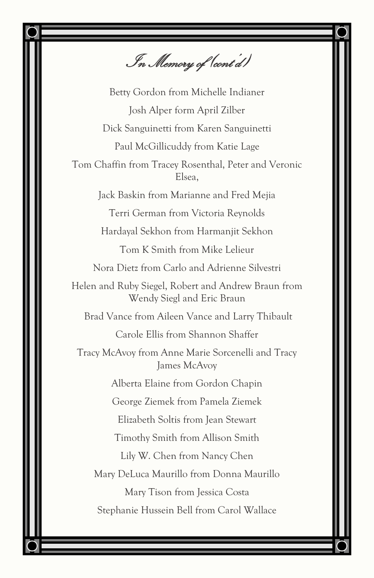In Memory of (cont'd)

Betty Gordon from Michelle Indianer Josh Alper form April Zilber Dick Sanguinetti from Karen Sanguinetti Paul McGillicuddy from Katie Lage Tom Chaffin from Tracey Rosenthal, Peter and Veronic Elsea, Jack Baskin from Marianne and Fred Mejia Terri German from Victoria Reynolds Hardayal Sekhon from Harmanjit Sekhon Tom K Smith from Mike Lelieur Nora Dietz from Carlo and Adrienne Silvestri Helen and Ruby Siegel, Robert and Andrew Braun from Wendy Siegl and Eric Braun Brad Vance from Aileen Vance and Larry Thibault Carole Ellis from Shannon Shaffer Tracy McAvoy from Anne Marie Sorcenelli and Tracy James McAvoy Alberta Elaine from Gordon Chapin George Ziemek from Pamela Ziemek Elizabeth Soltis from Jean Stewart Timothy Smith from Allison Smith Lily W. Chen from Nancy Chen Mary DeLuca Maurillo from Donna Maurillo Mary Tison from Jessica Costa Stephanie Hussein Bell from Carol Wallace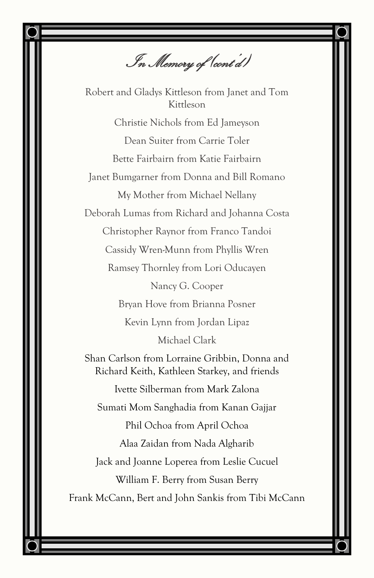In Memory of (cont'd)

Robert and Gladys Kittleson from Janet and Tom Kittleson Christie Nichols from Ed Jameyson Dean Suiter from Carrie Toler Bette Fairbairn from Katie Fairbairn Janet Bumgarner from Donna and Bill Romano My Mother from Michael Nellany Deborah Lumas from Richard and Johanna Costa Christopher Raynor from Franco Tandoi Cassidy Wren-Munn from Phyllis Wren Ramsey Thornley from Lori Oducayen Nancy G. Cooper Bryan Hove from Brianna Posner Kevin Lynn from Jordan Lipaz Michael Clark Shan Carlson from Lorraine Gribbin, Donna and Richard Keith, Kathleen Starkey, and friends Ivette Silberman from Mark Zalona Sumati Mom Sanghadia from Kanan Gajjar Phil Ochoa from April Ochoa Alaa Zaidan from Nada Algharib Jack and Joanne Loperea from Leslie Cucuel William F. Berry from Susan Berry Frank McCann, Bert and John Sankis from Tibi McCann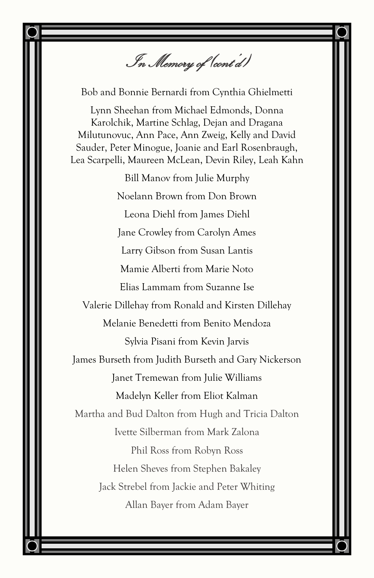In Memory of (cont'd)

Bob and Bonnie Bernardi from Cynthia Ghielmetti

Lynn Sheehan from Michael Edmonds, Donna Karolchik, Martine Schlag, Dejan and Dragana Milutunovuc, Ann Pace, Ann Zweig, Kelly and David Sauder, Peter Minogue, Joanie and Earl Rosenbraugh, Lea Scarpelli, Maureen McLean, Devin Riley, Leah Kahn

Bill Manov from Julie Murphy Noelann Brown from Don Brown Leona Diehl from James Diehl Jane Crowley from Carolyn Ames Larry Gibson from Susan Lantis Mamie Alberti from Marie Noto Elias Lammam from Suzanne Ise Valerie Dillehay from Ronald and Kirsten Dillehay Melanie Benedetti from Benito Mendoza Sylvia Pisani from Kevin Jarvis James Burseth from Judith Burseth and Gary Nickerson Janet Tremewan from Julie Williams Madelyn Keller from Eliot Kalman Martha and Bud Dalton from Hugh and Tricia Dalton Ivette Silberman from Mark Zalona Phil Ross from Robyn Ross Helen Sheves from Stephen Bakaley Jack Strebel from Jackie and Peter Whiting Allan Bayer from Adam Bayer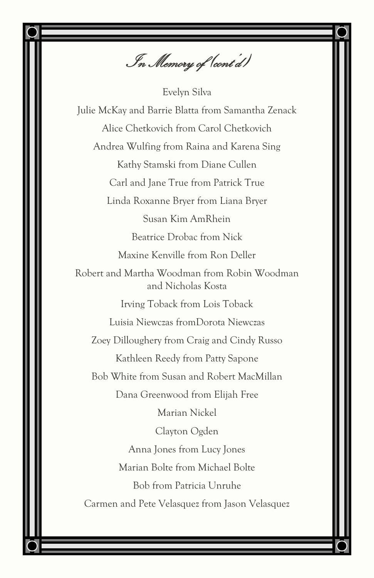In Memory of (cont'd)

Evelyn Silva Julie McKay and Barrie Blatta from Samantha Zenack Alice Chetkovich from Carol Chetkovich Andrea Wulfing from Raina and Karena Sing Kathy Stamski from Diane Cullen Carl and Jane True from Patrick True Linda Roxanne Bryer from Liana Bryer Susan Kim AmRhein Beatrice Drobac from Nick Maxine Kenville from Ron Deller Robert and Martha Woodman from Robin Woodman and Nicholas Kosta Irving Toback from Lois Toback Luisia Niewczas fromDorota Niewczas Zoey Dilloughery from Craig and Cindy Russo Kathleen Reedy from Patty Sapone Bob White from Susan and Robert MacMillan Dana Greenwood from Elijah Free Marian Nickel Clayton Ogden Anna Jones from Lucy Jones Marian Bolte from Michael Bolte Bob from Patricia Unruhe Carmen and Pete Velasquez from Jason Velasquez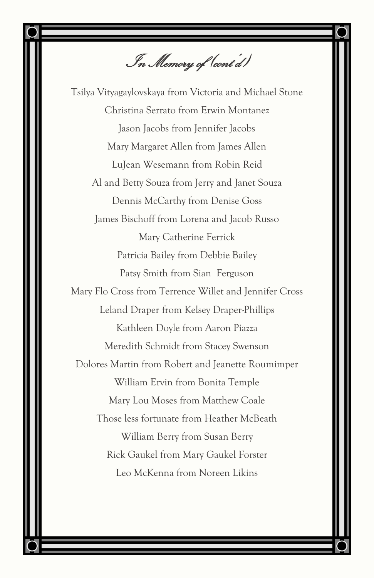In Memory of (cont'd)

Tsilya Vityagaylovskaya from Victoria and Michael Stone Christina Serrato from Erwin Montanez Jason Jacobs from Jennifer Jacobs Mary Margaret Allen from James Allen LuJean Wesemann from Robin Reid Al and Betty Souza from Jerry and Janet Souza Dennis McCarthy from Denise Goss James Bischoff from Lorena and Jacob Russo Mary Catherine Ferrick Patricia Bailey from Debbie Bailey Patsy Smith from Sian Ferguson Mary Flo Cross from Terrence Willet and Jennifer Cross Leland Draper from Kelsey Draper-Phillips Kathleen Doyle from Aaron Piazza Meredith Schmidt from Stacey Swenson Dolores Martin from Robert and Jeanette Roumimper William Ervin from Bonita Temple Mary Lou Moses from Matthew Coale Those less fortunate from Heather McBeath William Berry from Susan Berry Rick Gaukel from Mary Gaukel Forster Leo McKenna from Noreen Likins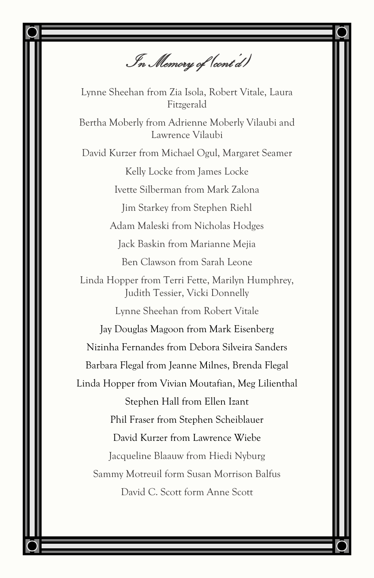In Memory of (cont'd)

Lynne Sheehan from Zia Isola, Robert Vitale, Laura Fitzgerald

Bertha Moberly from Adrienne Moberly Vilaubi and Lawrence Vilaubi

David Kurzer from Michael Ogul, Margaret Seamer Kelly Locke from James Locke Ivette Silberman from Mark Zalona Jim Starkey from Stephen Riehl Adam Maleski from Nicholas Hodges Jack Baskin from Marianne Mejia Ben Clawson from Sarah Leone Linda Hopper from Terri Fette, Marilyn Humphrey, Judith Tessier, Vicki Donnelly Lynne Sheehan from Robert Vitale Jay Douglas Magoon from Mark Eisenberg Nizinha Fernandes from Debora Silveira Sanders Barbara Flegal from Jeanne Milnes, Brenda Flegal Linda Hopper from Vivian Moutafian, Meg Lilienthal Stephen Hall from Ellen Izant Phil Fraser from Stephen Scheiblauer David Kurzer from Lawrence Wiebe Jacqueline Blaauw from Hiedi Nyburg Sammy Motreuil form Susan Morrison Balfus David C. Scott form Anne Scott